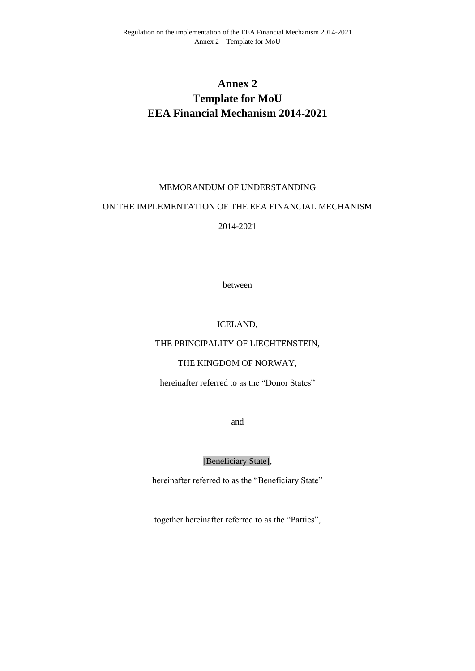# **Annex 2 Template for MoU EEA Financial Mechanism 2014-2021**

#### MEMORANDUM OF UNDERSTANDING

#### ON THE IMPLEMENTATION OF THE EEA FINANCIAL MECHANISM

2014-2021

between

#### ICELAND,

#### THE PRINCIPALITY OF LIECHTENSTEIN,

## THE KINGDOM OF NORWAY,

hereinafter referred to as the "Donor States"

and

[Beneficiary State],

hereinafter referred to as the "Beneficiary State"

together hereinafter referred to as the "Parties",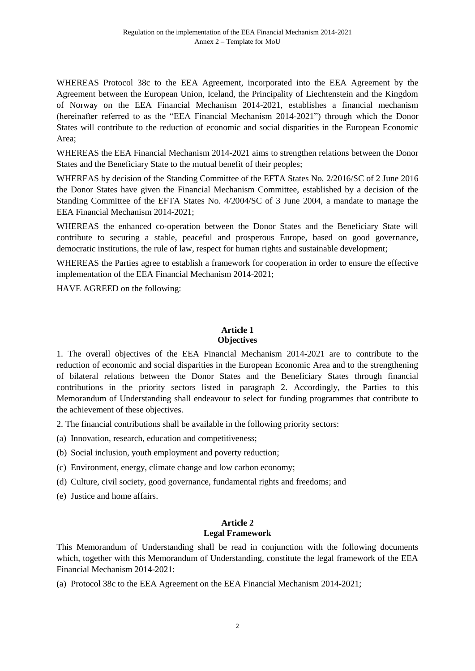WHEREAS Protocol 38c to the EEA Agreement, incorporated into the EEA Agreement by the Agreement between the European Union, Iceland, the Principality of Liechtenstein and the Kingdom of Norway on the EEA Financial Mechanism 2014-2021, establishes a financial mechanism (hereinafter referred to as the "EEA Financial Mechanism 2014-2021") through which the Donor States will contribute to the reduction of economic and social disparities in the European Economic Area;

WHEREAS the EEA Financial Mechanism 2014-2021 aims to strengthen relations between the Donor States and the Beneficiary State to the mutual benefit of their peoples;

WHEREAS by decision of the Standing Committee of the EFTA States No. 2/2016/SC of 2 June 2016 the Donor States have given the Financial Mechanism Committee, established by a decision of the Standing Committee of the EFTA States No. 4/2004/SC of 3 June 2004, a mandate to manage the EEA Financial Mechanism 2014-2021;

WHEREAS the enhanced co-operation between the Donor States and the Beneficiary State will contribute to securing a stable, peaceful and prosperous Europe, based on good governance, democratic institutions, the rule of law, respect for human rights and sustainable development;

WHEREAS the Parties agree to establish a framework for cooperation in order to ensure the effective implementation of the EEA Financial Mechanism 2014-2021;

HAVE AGREED on the following:

## **Article 1 Objectives**

1. The overall objectives of the EEA Financial Mechanism 2014-2021 are to contribute to the reduction of economic and social disparities in the European Economic Area and to the strengthening of bilateral relations between the Donor States and the Beneficiary States through financial contributions in the priority sectors listed in paragraph 2. Accordingly, the Parties to this Memorandum of Understanding shall endeavour to select for funding programmes that contribute to the achievement of these objectives.

2. The financial contributions shall be available in the following priority sectors:

(a) Innovation, research, education and competitiveness;

- (b) Social inclusion, youth employment and poverty reduction;
- (c) Environment, energy, climate change and low carbon economy;
- (d) Culture, civil society, good governance, fundamental rights and freedoms; and
- (e) Justice and home affairs.

#### **Article 2 Legal Framework**

This Memorandum of Understanding shall be read in conjunction with the following documents which, together with this Memorandum of Understanding, constitute the legal framework of the EEA Financial Mechanism 2014-2021:

(a) Protocol 38c to the EEA Agreement on the EEA Financial Mechanism 2014-2021;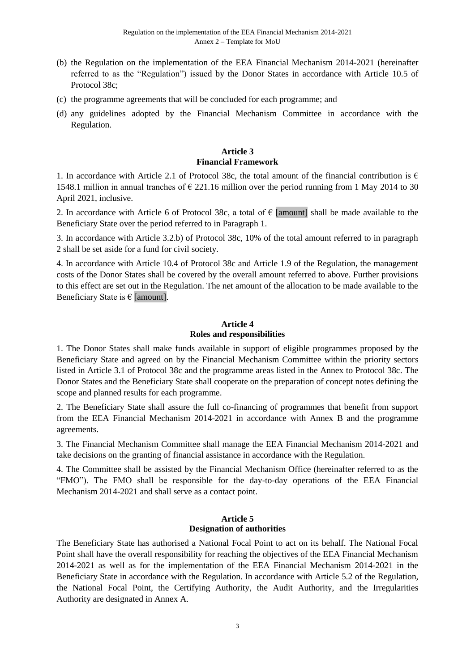- (b) the Regulation on the implementation of the EEA Financial Mechanism 2014-2021 (hereinafter referred to as the "Regulation") issued by the Donor States in accordance with Article 10.5 of Protocol 38c;
- (c) the programme agreements that will be concluded for each programme; and
- (d) any guidelines adopted by the Financial Mechanism Committee in accordance with the Regulation.

## **Article 3 Financial Framework**

1. In accordance with Article 2.1 of Protocol 38c, the total amount of the financial contribution is  $\epsilon$ 1548.1 million in annual tranches of  $\epsilon$  221.16 million over the period running from 1 May 2014 to 30 April 2021, inclusive.

2. In accordance with Article 6 of Protocol 38c, a total of  $\epsilon$  [amount] shall be made available to the Beneficiary State over the period referred to in Paragraph 1.

3. In accordance with Article 3.2.b) of Protocol 38c, 10% of the total amount referred to in paragraph 2 shall be set aside for a fund for civil society.

4. In accordance with Article 10.4 of Protocol 38c and Article 1.9 of the Regulation, the management costs of the Donor States shall be covered by the overall amount referred to above. Further provisions to this effect are set out in the Regulation. The net amount of the allocation to be made available to the Beneficiary State is  $\epsilon$  [amount].

## **Article 4 Roles and responsibilities**

1. The Donor States shall make funds available in support of eligible programmes proposed by the Beneficiary State and agreed on by the Financial Mechanism Committee within the priority sectors listed in Article 3.1 of Protocol 38c and the programme areas listed in the Annex to Protocol 38c. The Donor States and the Beneficiary State shall cooperate on the preparation of concept notes defining the scope and planned results for each programme.

2. The Beneficiary State shall assure the full co-financing of programmes that benefit from support from the EEA Financial Mechanism 2014-2021 in accordance with Annex B and the programme agreements.

3. The Financial Mechanism Committee shall manage the EEA Financial Mechanism 2014-2021 and take decisions on the granting of financial assistance in accordance with the Regulation.

4. The Committee shall be assisted by the Financial Mechanism Office (hereinafter referred to as the "FMO"). The FMO shall be responsible for the day-to-day operations of the EEA Financial Mechanism 2014-2021 and shall serve as a contact point.

## **Article 5 Designation of authorities**

The Beneficiary State has authorised a National Focal Point to act on its behalf. The National Focal Point shall have the overall responsibility for reaching the objectives of the EEA Financial Mechanism 2014-2021 as well as for the implementation of the EEA Financial Mechanism 2014-2021 in the Beneficiary State in accordance with the Regulation. In accordance with Article 5.2 of the Regulation, the National Focal Point, the Certifying Authority, the Audit Authority, and the Irregularities Authority are designated in Annex A.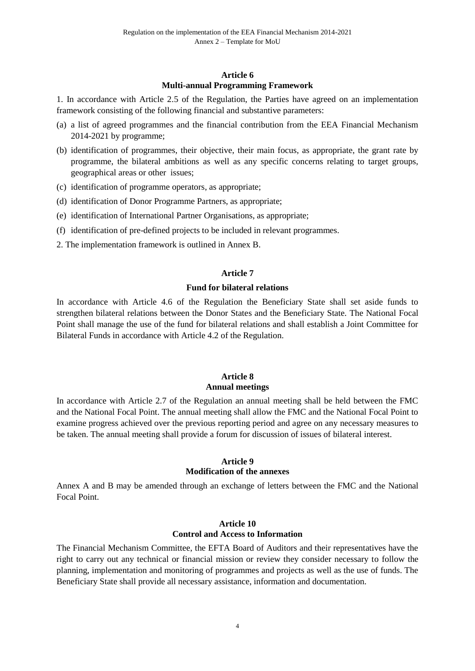#### **Article 6 Multi-annual Programming Framework**

1. In accordance with Article 2.5 of the Regulation, the Parties have agreed on an implementation framework consisting of the following financial and substantive parameters:

- (a) a list of agreed programmes and the financial contribution from the EEA Financial Mechanism 2014-2021 by programme;
- (b) identification of programmes, their objective, their main focus, as appropriate, the grant rate by programme, the bilateral ambitions as well as any specific concerns relating to target groups, geographical areas or other issues;
- (c) identification of programme operators, as appropriate;
- (d) identification of Donor Programme Partners, as appropriate;
- (e) identification of International Partner Organisations, as appropriate;
- (f) identification of pre-defined projects to be included in relevant programmes.
- 2. The implementation framework is outlined in Annex B.

#### **Article 7**

#### **Fund for bilateral relations**

In accordance with Article 4.6 of the Regulation the Beneficiary State shall set aside funds to strengthen bilateral relations between the Donor States and the Beneficiary State. The National Focal Point shall manage the use of the fund for bilateral relations and shall establish a Joint Committee for Bilateral Funds in accordance with Article 4.2 of the Regulation.

#### **Article 8 Annual meetings**

In accordance with Article 2.7 of the Regulation an annual meeting shall be held between the FMC and the National Focal Point. The annual meeting shall allow the FMC and the National Focal Point to examine progress achieved over the previous reporting period and agree on any necessary measures to be taken. The annual meeting shall provide a forum for discussion of issues of bilateral interest.

#### **Article 9**

#### **Modification of the annexes**

Annex A and B may be amended through an exchange of letters between the FMC and the National Focal Point.

#### **Article 10 Control and Access to Information**

The Financial Mechanism Committee, the EFTA Board of Auditors and their representatives have the right to carry out any technical or financial mission or review they consider necessary to follow the planning, implementation and monitoring of programmes and projects as well as the use of funds. The Beneficiary State shall provide all necessary assistance, information and documentation.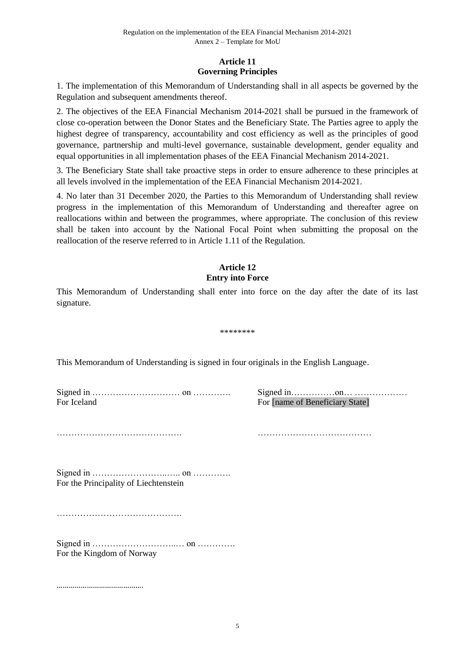## **Article 11 Governing Principles**

1. The implementation of this Memorandum of Understanding shall in all aspects be governed by the Regulation and subsequent amendments thereof.

2. The objectives of the EEA Financial Mechanism 2014-2021 shall be pursued in the framework of close co-operation between the Donor States and the Beneficiary State. The Parties agree to apply the highest degree of transparency, accountability and cost efficiency as well as the principles of good governance, partnership and multi-level governance, sustainable development, gender equality and equal opportunities in all implementation phases of the EEA Financial Mechanism 2014-2021.

3. The Beneficiary State shall take proactive steps in order to ensure adherence to these principles at all levels involved in the implementation of the EEA Financial Mechanism 2014-2021.

4. No later than 31 December 2020, the Parties to this Memorandum of Understanding shall review progress in the implementation of this Memorandum of Understanding and thereafter agree on reallocations within and between the programmes, where appropriate. The conclusion of this review shall be taken into account by the National Focal Point when submitting the proposal on the reallocation of the reserve referred to in Article 1.11 of the Regulation.

## **Article 12 Entry into Force**

This Memorandum of Understanding shall enter into force on the day after the date of its last signature.

\*\*\*\*\*\*\*\*

This Memorandum of Understanding is signed in four originals in the English Language.

Signed in ………………………… on …………. Signed in……………on… ……………… For Iceland For Iname of Beneficiary State]

……………………………………. …………………………………

Signed in ……………………..….. on …………. For the Principality of Liechtenstein

…………………………………….

Signed in ………………………..… on …………. For the Kingdom of Norway

…………………………………….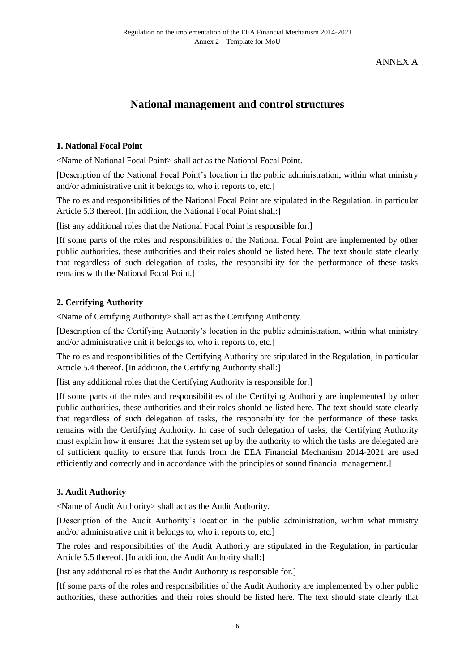ANNEX A

# **National management and control structures**

## **1. National Focal Point**

<Name of National Focal Point> shall act as the National Focal Point.

[Description of the National Focal Point's location in the public administration, within what ministry and/or administrative unit it belongs to, who it reports to, etc.]

The roles and responsibilities of the National Focal Point are stipulated in the Regulation, in particular Article 5.3 thereof. [In addition, the National Focal Point shall:]

[list any additional roles that the National Focal Point is responsible for.]

[If some parts of the roles and responsibilities of the National Focal Point are implemented by other public authorities, these authorities and their roles should be listed here. The text should state clearly that regardless of such delegation of tasks, the responsibility for the performance of these tasks remains with the National Focal Point.]

## **2. Certifying Authority**

<Name of Certifying Authority> shall act as the Certifying Authority.

[Description of the Certifying Authority's location in the public administration, within what ministry and/or administrative unit it belongs to, who it reports to, etc.]

The roles and responsibilities of the Certifying Authority are stipulated in the Regulation, in particular Article 5.4 thereof. [In addition, the Certifying Authority shall:]

[list any additional roles that the Certifying Authority is responsible for.]

[If some parts of the roles and responsibilities of the Certifying Authority are implemented by other public authorities, these authorities and their roles should be listed here. The text should state clearly that regardless of such delegation of tasks, the responsibility for the performance of these tasks remains with the Certifying Authority. In case of such delegation of tasks, the Certifying Authority must explain how it ensures that the system set up by the authority to which the tasks are delegated are of sufficient quality to ensure that funds from the EEA Financial Mechanism 2014-2021 are used efficiently and correctly and in accordance with the principles of sound financial management.]

## **3. Audit Authority**

<Name of Audit Authority> shall act as the Audit Authority.

[Description of the Audit Authority's location in the public administration, within what ministry and/or administrative unit it belongs to, who it reports to, etc.]

The roles and responsibilities of the Audit Authority are stipulated in the Regulation, in particular Article 5.5 thereof. [In addition, the Audit Authority shall:]

[list any additional roles that the Audit Authority is responsible for.]

[If some parts of the roles and responsibilities of the Audit Authority are implemented by other public authorities, these authorities and their roles should be listed here. The text should state clearly that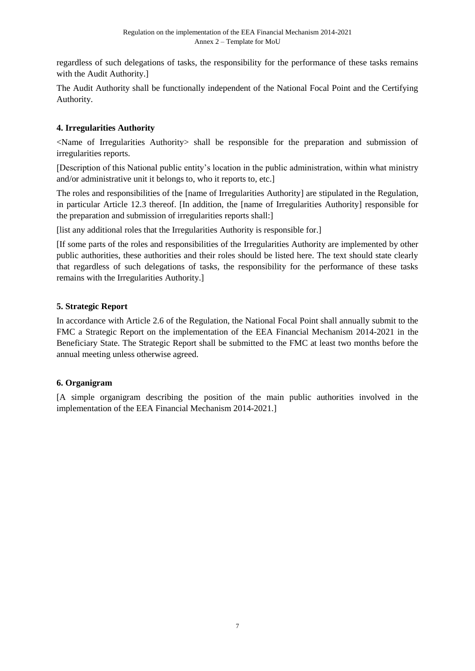regardless of such delegations of tasks, the responsibility for the performance of these tasks remains with the Audit Authority.]

The Audit Authority shall be functionally independent of the National Focal Point and the Certifying Authority.

# **4. Irregularities Authority**

<Name of Irregularities Authority> shall be responsible for the preparation and submission of irregularities reports.

[Description of this National public entity's location in the public administration, within what ministry and/or administrative unit it belongs to, who it reports to, etc.]

The roles and responsibilities of the [name of Irregularities Authority] are stipulated in the Regulation, in particular Article 12.3 thereof. [In addition, the [name of Irregularities Authority] responsible for the preparation and submission of irregularities reports shall:]

[list any additional roles that the Irregularities Authority is responsible for.]

[If some parts of the roles and responsibilities of the Irregularities Authority are implemented by other public authorities, these authorities and their roles should be listed here. The text should state clearly that regardless of such delegations of tasks, the responsibility for the performance of these tasks remains with the Irregularities Authority.]

# **5. Strategic Report**

In accordance with Article 2.6 of the Regulation, the National Focal Point shall annually submit to the FMC a Strategic Report on the implementation of the EEA Financial Mechanism 2014-2021 in the Beneficiary State. The Strategic Report shall be submitted to the FMC at least two months before the annual meeting unless otherwise agreed.

# **6. Organigram**

[A simple organigram describing the position of the main public authorities involved in the implementation of the EEA Financial Mechanism 2014-2021.]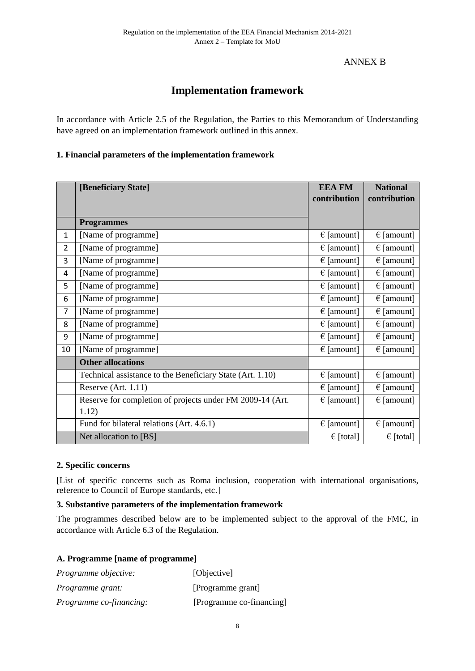# ANNEX B

# **Implementation framework**

In accordance with Article 2.5 of the Regulation, the Parties to this Memorandum of Understanding have agreed on an implementation framework outlined in this annex.

## **1. Financial parameters of the implementation framework**

|                | [Beneficiary State]                                       | <b>EEA FM</b>       | <b>National</b>     |
|----------------|-----------------------------------------------------------|---------------------|---------------------|
|                |                                                           | contribution        | contribution        |
|                |                                                           |                     |                     |
|                | <b>Programmes</b>                                         |                     |                     |
| $\mathbf{1}$   | [Name of programme]                                       | $\epsilon$ [amount] | $\epsilon$ [amount] |
| $\overline{2}$ | [Name of programme]                                       | $\epsilon$ [amount] | $\epsilon$ [amount] |
| 3              | [Name of programme]                                       | $\epsilon$ [amount] | $\epsilon$ [amount] |
| 4              | [Name of programme]                                       | $\epsilon$ [amount] | $\epsilon$ [amount] |
| 5              | [Name of programme]                                       | $\epsilon$ [amount] | $\epsilon$ [amount] |
| 6              | [Name of programme]                                       | $\epsilon$ [amount] | $\epsilon$ [amount] |
| $\overline{7}$ | [Name of programme]                                       | $\epsilon$ [amount] | $\epsilon$ [amount] |
| 8              | [Name of programme]                                       | $\epsilon$ [amount] | $\epsilon$ [amount] |
| 9              | [Name of programme]                                       | $\epsilon$ [amount] | $\epsilon$ [amount] |
| 10             | [Name of programme]                                       | $\epsilon$ [amount] | $\in$ [amount]      |
|                | <b>Other allocations</b>                                  |                     |                     |
|                | Technical assistance to the Beneficiary State (Art. 1.10) | $\epsilon$ [amount] | $\epsilon$ [amount] |
|                | Reserve (Art. 1.11)                                       | $\epsilon$ [amount] | $\epsilon$ [amount] |
|                | Reserve for completion of projects under FM 2009-14 (Art. | $\epsilon$ [amount] | $\epsilon$ [amount] |
|                | 1.12)                                                     |                     |                     |
|                | Fund for bilateral relations (Art. 4.6.1)                 | $\epsilon$ [amount] | $\epsilon$ [amount] |
|                | Net allocation to [BS]                                    | $\epsilon$ [total]  | $\epsilon$ [total]  |

## **2. Specific concerns**

[List of specific concerns such as Roma inclusion, cooperation with international organisations, reference to Council of Europe standards, etc.]

## **3. Substantive parameters of the implementation framework**

The programmes described below are to be implemented subject to the approval of the FMC, in accordance with Article 6.3 of the Regulation.

## **A. Programme [name of programme]**

| Programme objective:           | [Objective]              |
|--------------------------------|--------------------------|
| <i>Programme grant:</i>        | [Programme grant]        |
| <i>Programme co-financing:</i> | [Programme co-financing] |